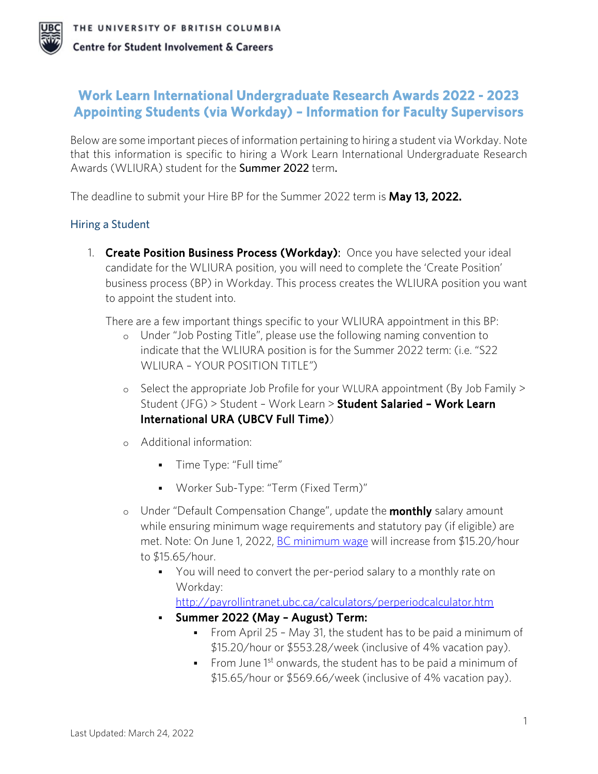

# **Work Learn International Undergraduate Research Awards 2022 - 2023 Appointing Students (via Workday) – Information for Faculty Supervisors**

Below are some important pieces of information pertaining to hiring a student via Workday. Note that this information is specific to hiring a Work Learn International Undergraduate Research Awards (WLIURA) student for the Summer 2022 term.

The deadline to submit your Hire BP for the Summer 2022 term is **May 13, 2022.** 

## Hiring a Student

1. Create Position Business Process (Workday): Once you have selected your ideal candidate for the WLIURA position, you will need to complete the 'Create Position' business process (BP) in Workday. This process creates the WLIURA position you want to appoint the student into.

There are a few important things specific to your WLIURA appointment in this BP:

- o Under "Job Posting Title", please use the following naming convention to indicate that the WLIURA position is for the Summer 2022 term: (i.e. "S22 WLIURA – YOUR POSITION TITLE*"*)
- o Select the appropriate Job Profile for your WLURA appointment (By Job Family > Student (JFG) > Student - Work Learn > Student Salaried - Work Learn International URA (UBCV Full Time))
- o Additional information:
	- **Time Type: "Full time"**
	- Worker Sub-Type: "Term (Fixed Term)"
- $\circ$  Under "Default Compensation Change", update the **monthly** salary amount while ensuring minimum wage requirements and statutory pay (if eligible) are met. Note: On June 1, 2022, [BC minimum wage](https://www2.gov.bc.ca/gov/content/employment-business/employment-standards-advice/employment-standards/wages/minimum-wage) will increase from \$15.20/hour to \$15.65/hour.
	- You will need to convert the per-period salary to a monthly rate on Workday:

<http://payrollintranet.ubc.ca/calculators/perperiodcalculator.htm>

- Summer 2022 (May August) Term:
	- From April 25 May 31, the student has to be paid a minimum of \$15.20/hour or \$553.28/week (inclusive of 4% vacation pay).
	- From June  $1^{st}$  onwards, the student has to be paid a minimum of \$15.65/hour or \$569.66/week (inclusive of 4% vacation pay).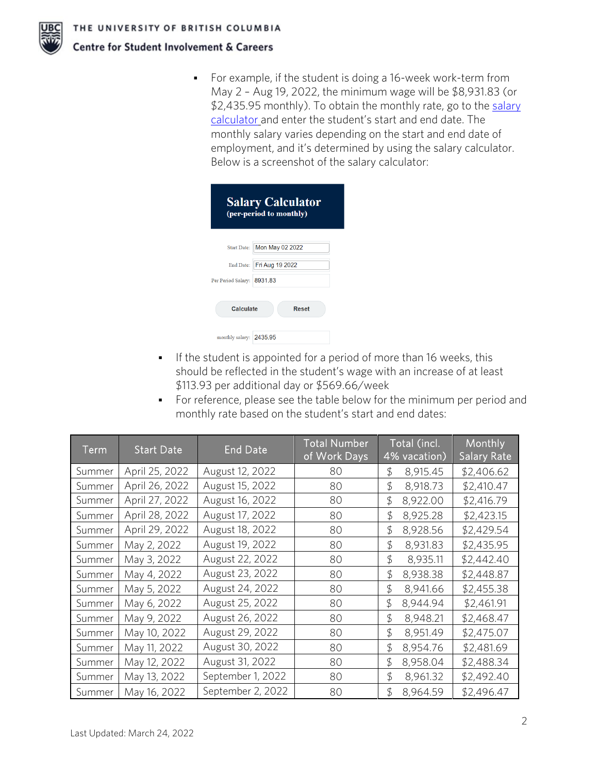

 For example, if the student is doing a 16-week work-term from May 2 – Aug 19, 2022, the minimum wage will be \$8,931.83 (or \$2,435.95 monthly). To obtain the monthly rate, go to the salary [calculator](http://payrollintranet.ubc.ca/calculators/perperiodcalculator.htm) and enter the student's start and end date. The monthly salary varies depending on the start and end date of employment, and it's determined by using the salary calculator. Below is a screenshot of the salary calculator:

| <b>Salary Calculator</b><br>(per-period to monthly) |                             |  |  |  |
|-----------------------------------------------------|-----------------------------|--|--|--|
|                                                     | Start Date: Mon May 02 2022 |  |  |  |
|                                                     | End Date: Fri Aug 19 2022   |  |  |  |
| Per Period Salary: 8931.83                          |                             |  |  |  |
| Calculate<br>Reset                                  |                             |  |  |  |
| monthly salary: 2435.95                             |                             |  |  |  |

- If the student is appointed for a period of more than 16 weeks, this should be reflected in the student's wage with an increase of at least \$113.93 per additional day or \$569.66/week
- For reference, please see the table below for the minimum per period and monthly rate based on the student's start and end dates:

| $T$ erm | <b>Start Date</b> | <b>End Date</b>   | <b>Total Number</b><br>of Work Days | Total (incl.<br>4% vacation) | Monthly<br><b>Salary Rate</b> |
|---------|-------------------|-------------------|-------------------------------------|------------------------------|-------------------------------|
| Summer  | April 25, 2022    | August 12, 2022   | 80                                  | 8,915.45<br>\$               | \$2,406.62                    |
| Summer  | April 26, 2022    | August 15, 2022   | 80                                  | \$<br>8,918.73               | \$2,410.47                    |
| Summer  | April 27, 2022    | August 16, 2022   | 80                                  | \$<br>8,922.00               | \$2,416.79                    |
| Summer  | April 28, 2022    | August 17, 2022   | 80                                  | \$<br>8,925.28               | \$2,423.15                    |
| Summer  | April 29, 2022    | August 18, 2022   | 80                                  | \$<br>8,928.56               | \$2,429.54                    |
| Summer  | May 2, 2022       | August 19, 2022   | 80                                  | $\mathfrak{D}$<br>8,931.83   | \$2,435.95                    |
| Summer  | May 3, 2022       | August 22, 2022   | 80                                  | \$<br>8,935.11               | \$2,442.40                    |
| Summer  | May 4, 2022       | August 23, 2022   | 80                                  | \$<br>8,938.38               | \$2,448.87                    |
| Summer  | May 5, 2022       | August 24, 2022   | 80                                  | \$<br>8,941.66               | \$2,455.38                    |
| Summer  | May 6, 2022       | August 25, 2022   | 80                                  | \$<br>8,944.94               | \$2,461.91                    |
| Summer  | May 9, 2022       | August 26, 2022   | 80                                  | \$<br>8,948.21               | \$2,468.47                    |
| Summer  | May 10, 2022      | August 29, 2022   | 80                                  | \$<br>8,951.49               | \$2,475.07                    |
| Summer  | May 11, 2022      | August 30, 2022   | 80                                  | \$<br>8,954.76               | \$2,481.69                    |
| Summer  | May 12, 2022      | August 31, 2022   | 80                                  | \$<br>8,958.04               | \$2,488.34                    |
| Summer  | May 13, 2022      | September 1, 2022 | 80                                  | \$<br>8,961.32               | \$2,492.40                    |
| Summer  | May 16, 2022      | September 2, 2022 | 80                                  | \$<br>8,964.59               | \$2,496.47                    |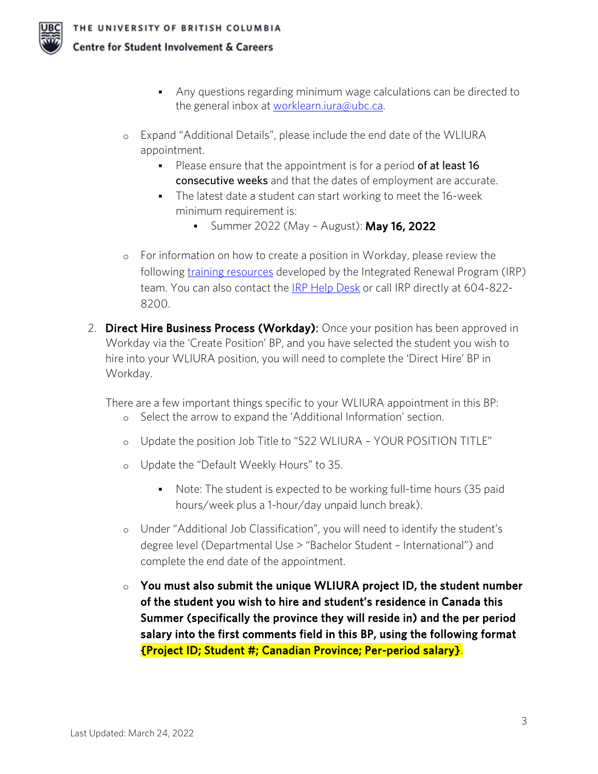- **Centre for Student Involvement & Careers** 
	- Any questions regarding minimum wage calculations can be directed to the general inbox at [worklearn.iura@ubc.ca.](mailto:worklearn.iura@ubc.ca)
	- o Expand "Additional Details", please include the end date of the WLIURA appointment.
		- Please ensure that the appointment is for a period of at least 16 consecutive weeks and that the dates of employment are accurate.
		- The latest date a student can start working to meet the 16-week minimum requirement is:
			- **Summer 2022 (May August): May 16, 2022**
	- o For information on how to create a position in Workday, please review the following [training resources](https://irp.ubc.ca/training) developed by the Integrated Renewal Program (IRP) team. You can also contact the [IRP Help Desk](https://irp.ubc.ca/contact) or call IRP directly at 604-822- 8200.
	- 2. **Direct Hire Business Process (Workday)**: Once your position has been approved in Workday via the 'Create Position' BP, and you have selected the student you wish to hire into your WLIURA position, you will need to complete the 'Direct Hire' BP in Workday.

There are a few important things specific to your WLIURA appointment in this BP:

- o Select the arrow to expand the 'Additional Information' section.
- o Update the position Job Title to "S22 WLIURA YOUR POSITION TITLE"
- o Update the "Default Weekly Hours" to 35.
	- Note: The student is expected to be working full-time hours (35 paid hours/week plus a 1-hour/day unpaid lunch break).
- o Under "Additional Job Classification", you will need to identify the student's degree level (Departmental Use > "Bachelor Student – International") and complete the end date of the appointment.
- $\circ$  You must also submit the unique WLIURA project ID, the student number of the student you wish to hire and student's residence in Canada this Summer (specifically the province they will reside in) and the per period salary into the first comments field in this BP, using the following format {Project ID; Student #; Canadian Province; Per-period salary}.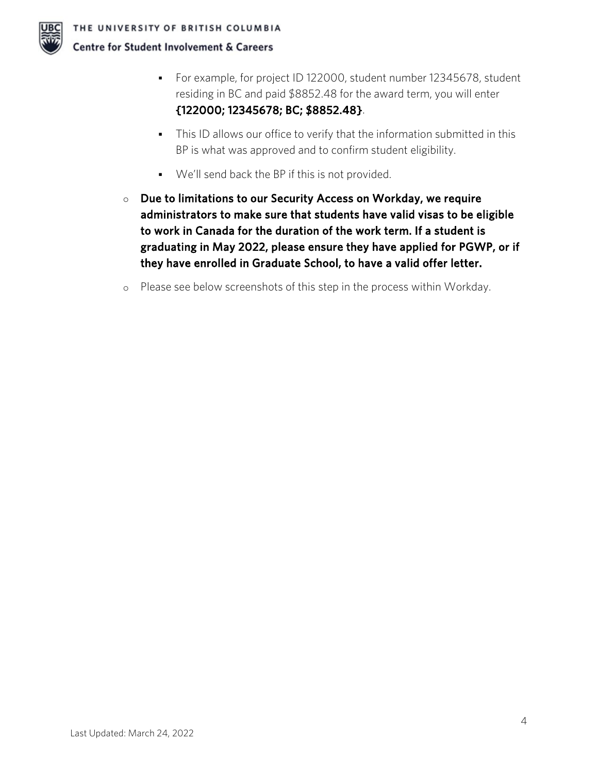

- For example, for project ID 122000, student number 12345678, student residing in BC and paid \$8852.48 for the award term, you will enter {122000; 12345678; BC; \$8852.48}.
- This ID allows our office to verify that the information submitted in this BP is what was approved and to confirm student eligibility.
- We'll send back the BP if this is not provided.
- $\circ$  Due to limitations to our Security Access on Workday, we require administrators to make sure that students have valid visas to be eligible to work in Canada for the duration of the work term. If a student is graduating in May 2022, please ensure they have applied for PGWP, or if they have enrolled in Graduate School, to have a valid offer letter.
- o Please see below screenshots of this step in the process within Workday.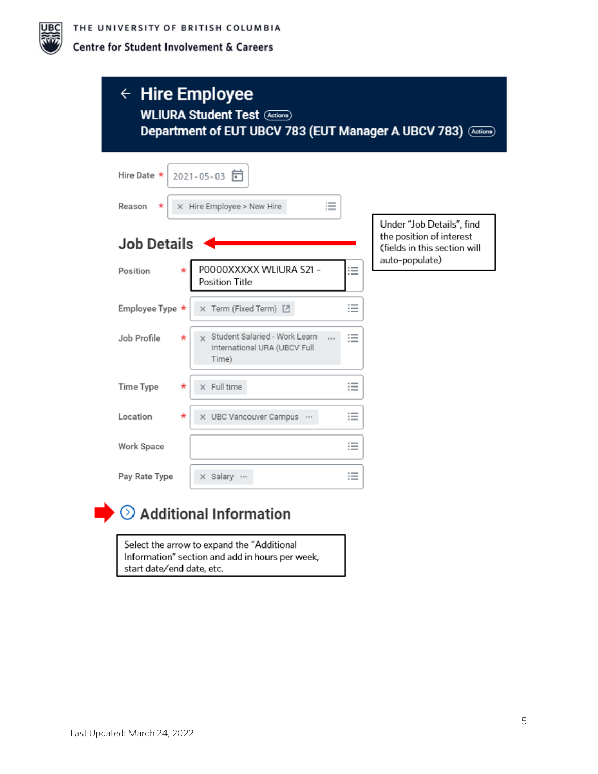

# $\leftarrow$  Hire Employee **WLIURA Student Test** (Actions) Department of EUT UBCV 783 (EUT Manager A UBCV 783) (Actions)

| Hire Date *<br>2021-05-03<br>三<br>X Hire Employee > New Hire<br>Reason<br>$^\star$                                |                                                                                                         |
|-------------------------------------------------------------------------------------------------------------------|---------------------------------------------------------------------------------------------------------|
| <b>Job Details</b>                                                                                                | Under "Job Details", find<br>the position of interest<br>(fields in this section will<br>auto-populate) |
| POOOOXXXXX WLIURA S21-<br>≔<br>Position<br>÷<br>Position Title                                                    |                                                                                                         |
| ≔<br>X Term (Fixed Term) [<br>Employee Type *                                                                     |                                                                                                         |
| Student Salaried - Work Learn<br>≔<br>Job Profile<br>$\star$<br>$\times$<br>International URA (UBCV Full<br>Time) |                                                                                                         |
| $\times$ Full time<br>≔<br><b>Time Type</b><br>$^\star$                                                           |                                                                                                         |
| ≔<br>Location<br>X UBC Vancouver Campus<br>*                                                                      |                                                                                                         |
| ≔<br>Work Space                                                                                                   |                                                                                                         |
| ≔<br>x Salary<br>Pay Rate Type                                                                                    |                                                                                                         |



# $\blacktriangleright$   $\odot$  Additional Information

Select the arrow to expand the "Additional Information" section and add in hours per week, start date/end date, etc.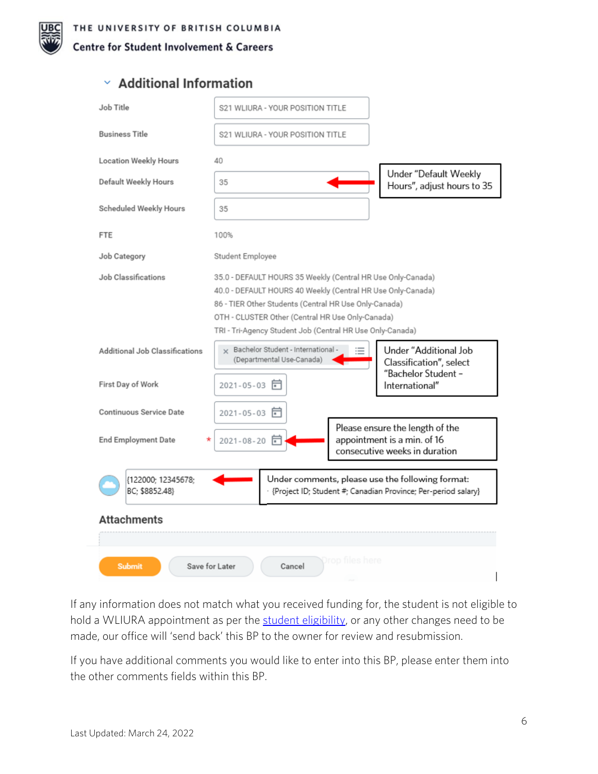

# $\times$  Additional Information

| Job Title                                                                                                                                                   | S21 WLIURA - YOUR POSITION TITLE                                                                                                                                                                                                                                                                     |                                                                                                 |  |  |  |
|-------------------------------------------------------------------------------------------------------------------------------------------------------------|------------------------------------------------------------------------------------------------------------------------------------------------------------------------------------------------------------------------------------------------------------------------------------------------------|-------------------------------------------------------------------------------------------------|--|--|--|
| <b>Business Title</b>                                                                                                                                       | S21 WLIURA - YOUR POSITION TITLE                                                                                                                                                                                                                                                                     |                                                                                                 |  |  |  |
| <b>Location Weekly Hours</b>                                                                                                                                | 40                                                                                                                                                                                                                                                                                                   |                                                                                                 |  |  |  |
| Default Weekly Hours                                                                                                                                        | 35                                                                                                                                                                                                                                                                                                   | Under "Default Weekly<br>Hours", adjust hours to 35                                             |  |  |  |
| Scheduled Weekly Hours                                                                                                                                      | 35                                                                                                                                                                                                                                                                                                   |                                                                                                 |  |  |  |
| <b>FTE</b>                                                                                                                                                  | 100%                                                                                                                                                                                                                                                                                                 |                                                                                                 |  |  |  |
| Job Category                                                                                                                                                | Student Employee                                                                                                                                                                                                                                                                                     |                                                                                                 |  |  |  |
| Job Classifications                                                                                                                                         | 35.0 - DEFAULT HOURS 35 Weekly (Central HR Use Only-Canada)<br>40.0 - DEFAULT HOURS 40 Weekly (Central HR Use Only-Canada)<br>86 - TIER Other Students (Central HR Use Only-Canada)<br>OTH - CLUSTER Other (Central HR Use Only-Canada)<br>TRI - Tri-Agency Student Job (Central HR Use Only-Canada) |                                                                                                 |  |  |  |
| Additional Job Classifications<br>First Day of Work                                                                                                         | × Bachelor Student - International -<br>≔<br>(Departmental Use-Canada)<br>2021-05-03 同                                                                                                                                                                                                               | Under "Additional Job<br>Classification", select<br>"Bachelor Student -<br>International"       |  |  |  |
| Continuous Service Date                                                                                                                                     | $2021 - 05 - 03$<br>╔                                                                                                                                                                                                                                                                                |                                                                                                 |  |  |  |
| <b>End Employment Date</b>                                                                                                                                  | 2021-08-20                                                                                                                                                                                                                                                                                           | Please ensure the length of the<br>appointment is a min. of 16<br>consecutive weeks in duration |  |  |  |
| Under comments, please use the following format:<br>{122000; 12345678;<br>BC; \$8852.48}<br>· {Project ID; Student #; Canadian Province; Per-period salary} |                                                                                                                                                                                                                                                                                                      |                                                                                                 |  |  |  |
| <b>Attachments</b>                                                                                                                                          |                                                                                                                                                                                                                                                                                                      |                                                                                                 |  |  |  |
| rop files here<br>Save for Later<br><b>Submit</b><br>Cancel                                                                                                 |                                                                                                                                                                                                                                                                                                      |                                                                                                 |  |  |  |

If any information does not match what you received funding for, the student is not eligible to hold a WLIURA appointment as per the [student eligibility,](https://students.ubc.ca/career/campus-experiences/undergraduate-research/work-learn-international-undergraduate-research-awards) or any other changes need to be made, our office will 'send back' this BP to the owner for review and resubmission.

If you have additional comments you would like to enter into this BP, please enter them into the other comments fields within this BP.